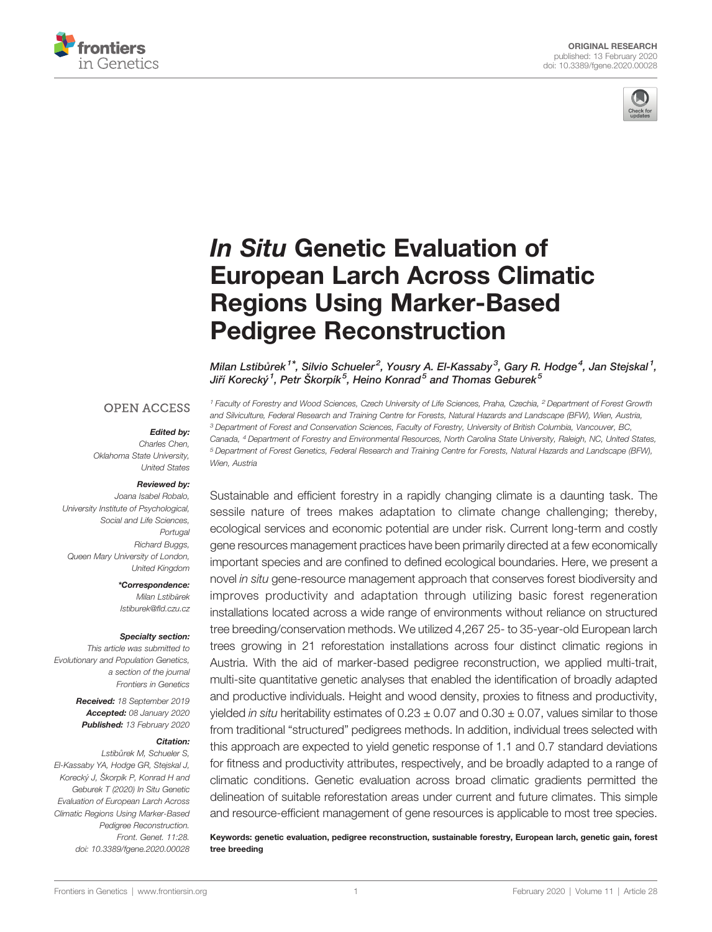



# In Situ [Genetic Evaluation of](https://www.frontiersin.org/article/10.3389/fgene.2020.00028/full) [European Larch Across Climatic](https://www.frontiersin.org/article/10.3389/fgene.2020.00028/full) [Regions Using Marker-Based](https://www.frontiersin.org/article/10.3389/fgene.2020.00028/full) [Pedigree Reconstruction](https://www.frontiersin.org/article/10.3389/fgene.2020.00028/full)

Milan Lstibů[rek](https://loop.frontiersin.org/people/430646)<sup>1\*</sup>, Silvio Schueler<sup>2</sup>, [Yousry A. El-Kassaby](https://loop.frontiersin.org/people/344616)<sup>3</sup>, [Gary R. Hodge](https://loop.frontiersin.org/people/485979)<sup>4</sup>, Jan Stejskal<sup>1</sup>, Jiří Korecký <sup>1</sup>, Petr Škorpík <sup>5</sup>, Heino Konrad <sup>5</sup> and Thomas Geburek <sup>5</sup>

## **OPEN ACCESS**

#### Edited by:

Charles Chen, Oklahoma State University, United States

#### Reviewed by:

Joana Isabel Robalo, University Institute of Psychological, Social and Life Sciences, Portugal Richard Buggs, Queen Mary University of London, United Kingdom

> \*Correspondence: Milan Lstibůrek [Istiburek@](mailto:Istiburek@fld.czu.cz)fld.czu.cz

#### Specialty section:

This article was submitted to Evolutionary and Population Genetics, a section of the journal Frontiers in Genetics

> Received: 18 September 2019 Accepted: 08 January 2020 Published: 13 February 2020

#### Citation:

Lstiburek M, Schueler S, El-Kassaby YA, Hodge GR, Stejskal J, Korecký J, Škorpík P, Konrad H and Geburek T (2020) In Situ Genetic Evaluation of European Larch Across Climatic Regions Using Marker-Based Pedigree Reconstruction. Front. Genet. 11:28. [doi: 10.3389/fgene.2020.00028](https://doi.org/10.3389/fgene.2020.00028)

<sup>1</sup> Faculty of Forestry and Wood Sciences, Czech University of Life Sciences, Praha, Czechia, <sup>2</sup> Department of Forest Growth and Silviculture, Federal Research and Training Centre for Forests, Natural Hazards and Landscape (BFW), Wien, Austria, <sup>3</sup> Department of Forest and Conservation Sciences, Faculty of Forestry, University of British Columbia, Vancouver, BC, Canada, <sup>4</sup> Department of Forestry and Environmental Resources, North Carolina State University, Raleigh, NC, United States, <sup>5</sup> Department of Forest Genetics, Federal Research and Training Centre for Forests, Natural Hazards and Landscape (BFW), Wien, Austria

Sustainable and efficient forestry in a rapidly changing climate is a daunting task. The sessile nature of trees makes adaptation to climate change challenging; thereby, ecological services and economic potential are under risk. Current long-term and costly gene resources management practices have been primarily directed at a few economically important species and are confined to defined ecological boundaries. Here, we present a novel in situ gene-resource management approach that conserves forest biodiversity and improves productivity and adaptation through utilizing basic forest regeneration installations located across a wide range of environments without reliance on structured tree breeding/conservation methods. We utilized 4,267 25- to 35-year-old European larch trees growing in 21 reforestation installations across four distinct climatic regions in Austria. With the aid of marker-based pedigree reconstruction, we applied multi-trait, multi-site quantitative genetic analyses that enabled the identification of broadly adapted and productive individuals. Height and wood density, proxies to fitness and productivity, yielded in situ heritability estimates of  $0.23 \pm 0.07$  and  $0.30 \pm 0.07$ , values similar to those from traditional "structured" pedigrees methods. In addition, individual trees selected with this approach are expected to yield genetic response of 1.1 and 0.7 standard deviations for fitness and productivity attributes, respectively, and be broadly adapted to a range of climatic conditions. Genetic evaluation across broad climatic gradients permitted the delineation of suitable reforestation areas under current and future climates. This simple and resource-efficient management of gene resources is applicable to most tree species.

Keywords: genetic evaluation, pedigree reconstruction, sustainable forestry, European larch, genetic gain, forest tree breeding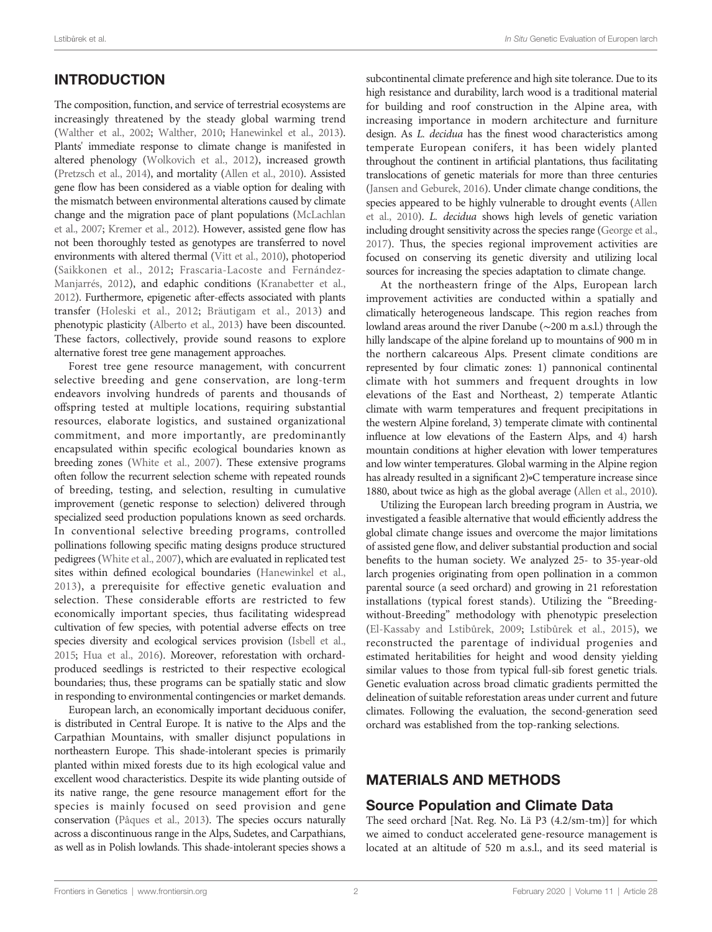# INTRODUCTION

The composition, function, and service of terrestrial ecosystems are increasingly threatened by the steady global warming trend [\(Walther et al., 2002;](#page-7-0) [Walther, 2010](#page-7-0); [Hanewinkel et al., 2013\)](#page-7-0). Plants' immediate response to climate change is manifested in altered phenology [\(Wolkovich et al., 2012\)](#page-7-0), increased growth [\(Pretzsch et al., 2014\)](#page-7-0), and mortality ([Allen et al., 2010\)](#page-6-0). Assisted gene flow has been considered as a viable option for dealing with the mismatch between environmental alterations caused by climate change and the migration pace of plant populations [\(McLachlan](#page-7-0) [et al., 2007;](#page-7-0) [Kremer et al., 2012\)](#page-7-0). However, assisted gene flow has not been thoroughly tested as genotypes are transferred to novel environments with altered thermal [\(Vitt et al., 2010](#page-7-0)), photoperiod ([Saikkonen et al., 2012;](#page-7-0) [Frascaria-Lacoste and Fernández-](#page-7-0)[Manjarrés, 2012](#page-7-0)), and edaphic conditions [\(Kranabetter et al.,](#page-7-0) [2012\)](#page-7-0). Furthermore, epigenetic after-effects associated with plants transfer ([Holeski et al., 2012;](#page-7-0) [Bräutigam et al., 2013](#page-6-0)) and phenotypic plasticity [\(Alberto et al., 2013](#page-6-0)) have been discounted. These factors, collectively, provide sound reasons to explore alternative forest tree gene management approaches.

Forest tree gene resource management, with concurrent selective breeding and gene conservation, are long-term endeavors involving hundreds of parents and thousands of offspring tested at multiple locations, requiring substantial resources, elaborate logistics, and sustained organizational commitment, and more importantly, are predominantly encapsulated within specific ecological boundaries known as breeding zones [\(White et al., 2007](#page-7-0)). These extensive programs often follow the recurrent selection scheme with repeated rounds of breeding, testing, and selection, resulting in cumulative improvement (genetic response to selection) delivered through specialized seed production populations known as seed orchards. In conventional selective breeding programs, controlled pollinations following specific mating designs produce structured pedigrees [\(White et al., 2007](#page-7-0)), which are evaluated in replicated test sites within defined ecological boundaries ([Hanewinkel et al.,](#page-7-0) [2013\)](#page-7-0), a prerequisite for effective genetic evaluation and selection. These considerable efforts are restricted to few economically important species, thus facilitating widespread cultivation of few species, with potential adverse effects on tree species diversity and ecological services provision [\(Isbell et al.,](#page-7-0) [2015](#page-7-0); [Hua et al., 2016](#page-7-0)). Moreover, reforestation with orchardproduced seedlings is restricted to their respective ecological boundaries; thus, these programs can be spatially static and slow in responding to environmental contingencies or market demands.

European larch, an economically important deciduous conifer, is distributed in Central Europe. It is native to the Alps and the Carpathian Mountains, with smaller disjunct populations in northeastern Europe. This shade-intolerant species is primarily planted within mixed forests due to its high ecological value and excellent wood characteristics. Despite its wide planting outside of its native range, the gene resource management effort for the species is mainly focused on seed provision and gene conservation [\(Pâques et al., 2013\)](#page-7-0). The species occurs naturally across a discontinuous range in the Alps, Sudetes, and Carpathians, as well as in Polish lowlands. This shade-intolerant species shows a subcontinental climate preference and high site tolerance. Due to its high resistance and durability, larch wood is a traditional material for building and roof construction in the Alpine area, with increasing importance in modern architecture and furniture design. As L. decidua has the finest wood characteristics among temperate European conifers, it has been widely planted throughout the continent in artificial plantations, thus facilitating translocations of genetic materials for more than three centuries [\(Jansen and Geburek, 2016](#page-7-0)). Under climate change conditions, the species appeared to be highly vulnerable to drought events [\(Allen](#page-6-0) [et al., 2010\)](#page-6-0). L. decidua shows high levels of genetic variation including drought sensitivity across the species range ([George et al.,](#page-7-0) [2017](#page-7-0)). Thus, the species regional improvement activities are focused on conserving its genetic diversity and utilizing local sources for increasing the species adaptation to climate change.

At the northeastern fringe of the Alps, European larch improvement activities are conducted within a spatially and climatically heterogeneous landscape. This region reaches from lowland areas around the river Danube (∼200 m a.s.l.) through the hilly landscape of the alpine foreland up to mountains of 900 m in the northern calcareous Alps. Present climate conditions are represented by four climatic zones: 1) pannonical continental climate with hot summers and frequent droughts in low elevations of the East and Northeast, 2) temperate Atlantic climate with warm temperatures and frequent precipitations in the western Alpine foreland, 3) temperate climate with continental influence at low elevations of the Eastern Alps, and 4) harsh mountain conditions at higher elevation with lower temperatures and low winter temperatures. Global warming in the Alpine region has already resulted in a significant 2)∘C temperature increase since 1880, about twice as high as the global average [\(Allen et al., 2010\)](#page-6-0).

Utilizing the European larch breeding program in Austria, we investigated a feasible alternative that would efficiently address the global climate change issues and overcome the major limitations of assisted gene flow, and deliver substantial production and social benefits to the human society. We analyzed 25- to 35-year-old larch progenies originating from open pollination in a common parental source (a seed orchard) and growing in 21 reforestation installations (typical forest stands). Utilizing the "Breedingwithout-Breeding" methodology with phenotypic preselection [\(El-Kassaby and Lstib](#page-7-0)ůrek, 2009; Lstibů[rek et al., 2015](#page-7-0)), we reconstructed the parentage of individual progenies and estimated heritabilities for height and wood density yielding similar values to those from typical full-sib forest genetic trials. Genetic evaluation across broad climatic gradients permitted the delineation of suitable reforestation areas under current and future climates. Following the evaluation, the second-generation seed orchard was established from the top-ranking selections.

## MATERIALS AND METHODS

## Source Population and Climate Data

The seed orchard [Nat. Reg. No. Lä P3 (4.2/sm-tm)] for which we aimed to conduct accelerated gene-resource management is located at an altitude of 520 m a.s.l., and its seed material is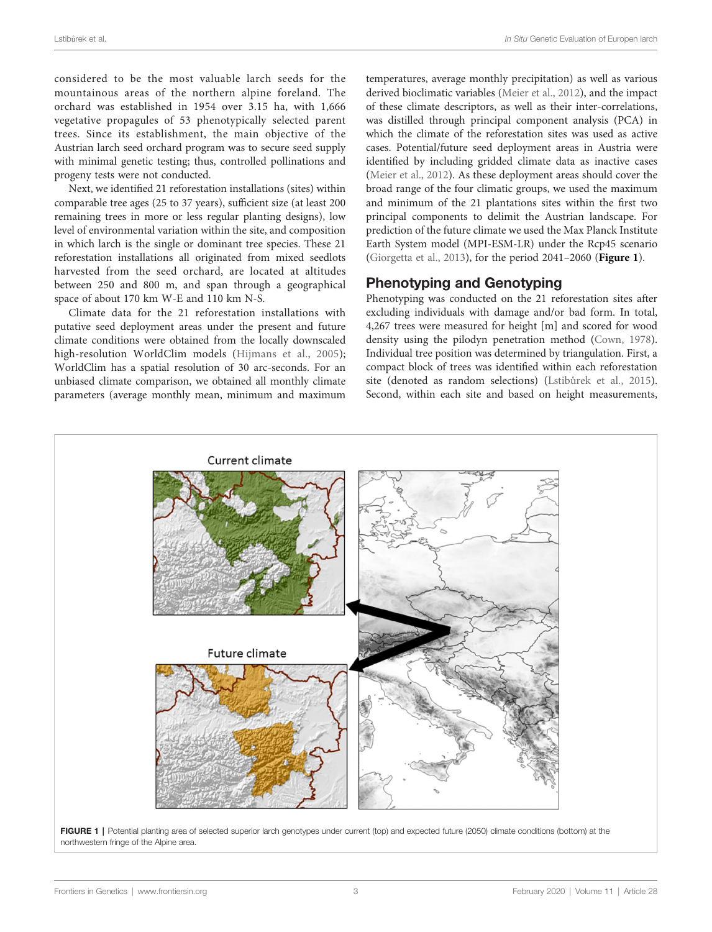<span id="page-2-0"></span>considered to be the most valuable larch seeds for the mountainous areas of the northern alpine foreland. The orchard was established in 1954 over 3.15 ha, with 1,666 vegetative propagules of 53 phenotypically selected parent trees. Since its establishment, the main objective of the Austrian larch seed orchard program was to secure seed supply with minimal genetic testing; thus, controlled pollinations and progeny tests were not conducted.

Next, we identified 21 reforestation installations (sites) within comparable tree ages (25 to 37 years), sufficient size (at least 200 remaining trees in more or less regular planting designs), low level of environmental variation within the site, and composition in which larch is the single or dominant tree species. These 21 reforestation installations all originated from mixed seedlots harvested from the seed orchard, are located at altitudes between 250 and 800 m, and span through a geographical space of about 170 km W-E and 110 km N-S.

Climate data for the 21 reforestation installations with putative seed deployment areas under the present and future climate conditions were obtained from the locally downscaled high-resolution WorldClim models ([Hijmans et al., 2005\)](#page-7-0); WorldClim has a spatial resolution of 30 arc-seconds. For an unbiased climate comparison, we obtained all monthly climate parameters (average monthly mean, minimum and maximum

temperatures, average monthly precipitation) as well as various derived bioclimatic variables ([Meier et al., 2012](#page-7-0)), and the impact of these climate descriptors, as well as their inter-correlations, was distilled through principal component analysis (PCA) in which the climate of the reforestation sites was used as active cases. Potential/future seed deployment areas in Austria were identified by including gridded climate data as inactive cases [\(Meier et al., 2012](#page-7-0)). As these deployment areas should cover the broad range of the four climatic groups, we used the maximum and minimum of the 21 plantations sites within the first two principal components to delimit the Austrian landscape. For prediction of the future climate we used the Max Planck Institute Earth System model (MPI-ESM-LR) under the Rcp45 scenario [\(Giorgetta et al., 2013](#page-7-0)), for the period 2041–2060 (Figure 1).

## Phenotyping and Genotyping

Phenotyping was conducted on the 21 reforestation sites after excluding individuals with damage and/or bad form. In total, 4,267 trees were measured for height [m] and scored for wood density using the pilodyn penetration method [\(Cown, 1978\)](#page-6-0). Individual tree position was determined by triangulation. First, a compact block of trees was identified within each reforestation site (denoted as random selections) (Lstibů[rek et al., 2015\)](#page-7-0). Second, within each site and based on height measurements,



northwestern fringe of the Alpine area.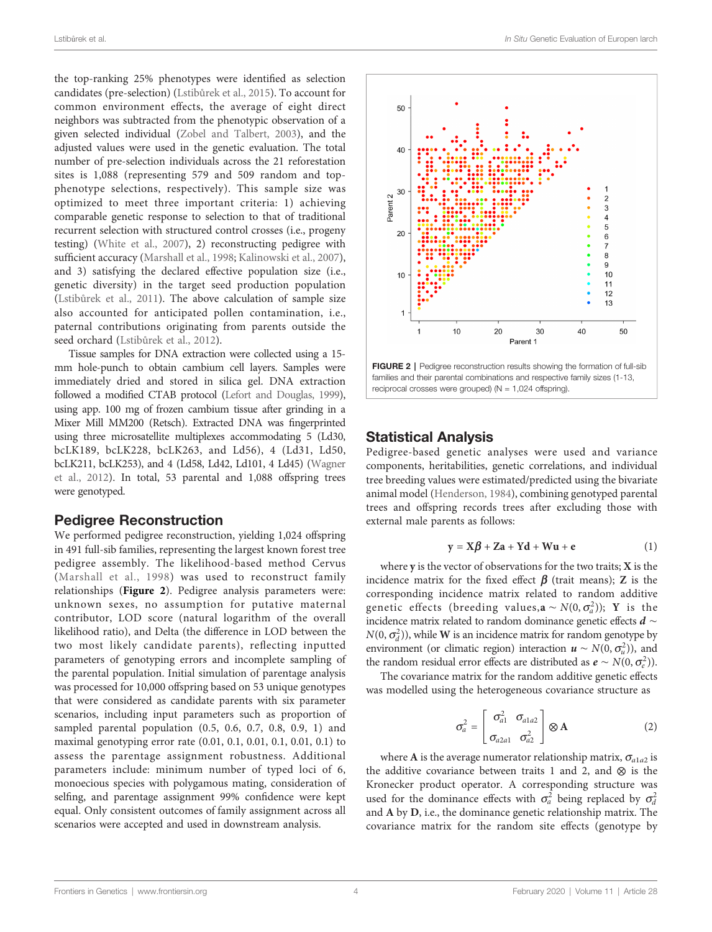<span id="page-3-0"></span>the top-ranking 25% phenotypes were identified as selection candidates (pre-selection) (Lstibů[rek et al., 2015\)](#page-7-0). To account for common environment effects, the average of eight direct neighbors was subtracted from the phenotypic observation of a given selected individual ([Zobel and Talbert, 2003](#page-7-0)), and the adjusted values were used in the genetic evaluation. The total number of pre-selection individuals across the 21 reforestation sites is 1,088 (representing 579 and 509 random and topphenotype selections, respectively). This sample size was optimized to meet three important criteria: 1) achieving comparable genetic response to selection to that of traditional recurrent selection with structured control crosses (i.e., progeny testing) ([White et al., 2007](#page-7-0)), 2) reconstructing pedigree with sufficient accuracy [\(Marshall et al., 1998;](#page-7-0) [Kalinowski et al., 2007\)](#page-7-0), and 3) satisfying the declared effective population size (i.e., genetic diversity) in the target seed production population (Lstibů[rek et al., 2011\)](#page-7-0). The above calculation of sample size also accounted for anticipated pollen contamination, i.e., paternal contributions originating from parents outside the seed orchard (Lstibů[rek et al., 2012](#page-7-0)).

Tissue samples for DNA extraction were collected using a 15 mm hole-punch to obtain cambium cell layers. Samples were immediately dried and stored in silica gel. DNA extraction followed a modified CTAB protocol [\(Lefort and Douglas, 1999\)](#page-7-0), using app. 100 mg of frozen cambium tissue after grinding in a Mixer Mill MM200 (Retsch). Extracted DNA was fingerprinted using three microsatellite multiplexes accommodating 5 (Ld30, bcLK189, bcLK228, bcLK263, and Ld56), 4 (Ld31, Ld50, bcLK211, bcLK253), and 4 (Ld58, Ld42, Ld101, 4 Ld45) [\(Wagner](#page-7-0) [et al., 2012\)](#page-7-0). In total, 53 parental and 1,088 offspring trees were genotyped.

### Pedigree Reconstruction

We performed pedigree reconstruction, yielding 1,024 offspring in 491 full-sib families, representing the largest known forest tree pedigree assembly. The likelihood-based method Cervus ([Marshall et al., 1998](#page-7-0)) was used to reconstruct family relationships (Figure 2). Pedigree analysis parameters were: unknown sexes, no assumption for putative maternal contributor, LOD score (natural logarithm of the overall likelihood ratio), and Delta (the difference in LOD between the two most likely candidate parents), reflecting inputted parameters of genotyping errors and incomplete sampling of the parental population. Initial simulation of parentage analysis was processed for 10,000 offspring based on 53 unique genotypes that were considered as candidate parents with six parameter scenarios, including input parameters such as proportion of sampled parental population (0.5, 0.6, 0.7, 0.8, 0.9, 1) and maximal genotyping error rate (0.01, 0.1, 0.01, 0.1, 0.01, 0.1) to assess the parentage assignment robustness. Additional parameters include: minimum number of typed loci of 6, monoecious species with polygamous mating, consideration of selfing, and parentage assignment 99% confidence were kept equal. Only consistent outcomes of family assignment across all scenarios were accepted and used in downstream analysis.



FIGURE 2 | Pedigree reconstruction results showing the formation of full-sib families and their parental combinations and respective family sizes (1-13, reciprocal crosses were grouped) ( $N = 1,024$  offspring).

## Statistical Analysis

Pedigree-based genetic analyses were used and variance components, heritabilities, genetic correlations, and individual tree breeding values were estimated/predicted using the bivariate animal model [\(Henderson, 1984](#page-7-0)), combining genotyped parental trees and offspring records trees after excluding those with external male parents as follows:

$$
y = X\beta + Za + Yd + Wu + e \tag{1}
$$

where  $y$  is the vector of observations for the two traits;  $X$  is the incidence matrix for the fixed effect  $\beta$  (trait means); Z is the corresponding incidence matrix related to random additive genetic effects (breeding values,  $\mathbf{a} \sim N(0, \sigma_a^2)$ ); Y is the incidence matrix related to random dominance genetic effects  $d$  ∼  $N(0, \sigma_d^2)$ , while **W** is an incidence matrix for random genotype by environment (or climatic region) interaction  $u \sim N(0, \sigma_u^2)$ , and the random residual error effects are distributed as  $e \sim N(0, \sigma_e^2)$ ).

The covariance matrix for the random additive genetic effects was modelled using the heterogeneous covariance structure as

$$
\sigma_a^2 = \begin{bmatrix} \sigma_{a1}^2 & \sigma_{a1a2} \\ \sigma_{a2a1} & \sigma_{a2}^2 \end{bmatrix} \otimes \mathbf{A}
$$
 (2)

where A is the average numerator relationship matrix,  $\sigma_{a1a2}$  is the additive covariance between traits 1 and 2, and  $\otimes$  is the Kronecker product operator. A corresponding structure was used for the dominance effects with  $\sigma_a^2$  being replaced by  $\sigma_d^2$ and A by D, i.e., the dominance genetic relationship matrix. The covariance matrix for the random site effects (genotype by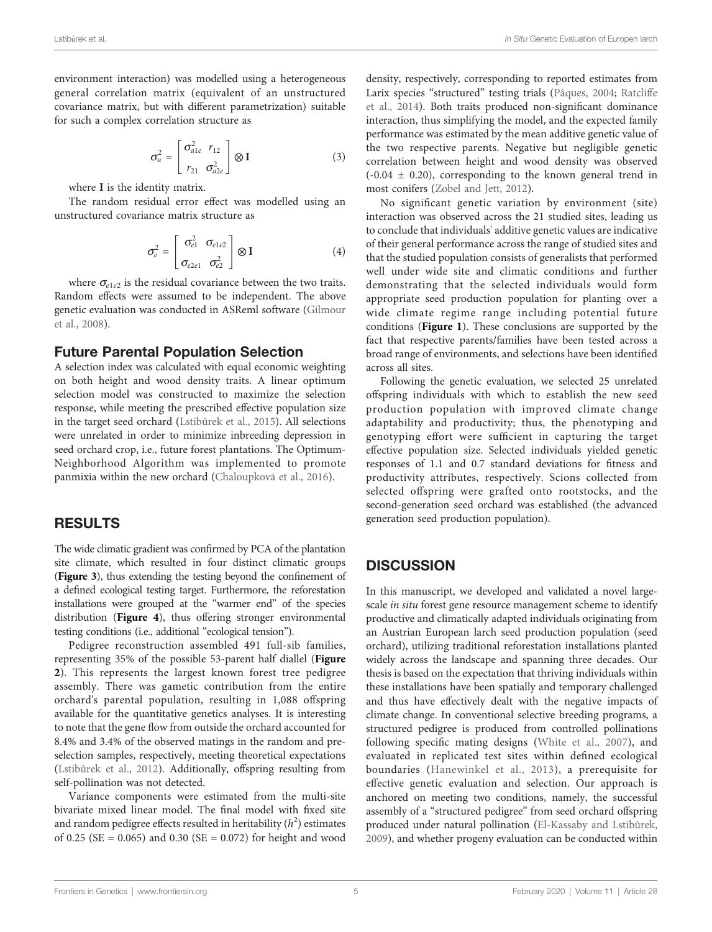environment interaction) was modelled using a heterogeneous general correlation matrix (equivalent of an unstructured covariance matrix, but with different parametrization) suitable for such a complex correlation structure as

$$
\sigma_u^2 = \begin{bmatrix} \sigma_{a1e}^2 & r_{12} \\ r_{21} & \sigma_{a2e}^2 \end{bmatrix} \otimes \mathbf{I}
$$
 (3)

where I is the identity matrix.

The random residual error effect was modelled using an unstructured covariance matrix structure as

$$
\sigma_e^2 = \begin{bmatrix} \sigma_{e1}^2 & \sigma_{e1e2} \\ \sigma_{e2e1} & \sigma_{e2}^2 \end{bmatrix} \otimes I
$$
 (4)

where  $\sigma_{e1e2}$  is the residual covariance between the two traits. Random effects were assumed to be independent. The above genetic evaluation was conducted in ASReml software ([Gilmour](#page-7-0) [et al., 2008\)](#page-7-0).

### Future Parental Population Selection

A selection index was calculated with equal economic weighting on both height and wood density traits. A linear optimum selection model was constructed to maximize the selection response, while meeting the prescribed effective population size in the target seed orchard (Lstibů[rek et al., 2015](#page-7-0)). All selections were unrelated in order to minimize inbreeding depression in seed orchard crop, i.e., future forest plantations. The Optimum-Neighborhood Algorithm was implemented to promote panmixia within the new orchard [\(Chaloupková et al., 2016\)](#page-6-0).

## RESULTS

The wide climatic gradient was confirmed by PCA of the plantation site climate, which resulted in four distinct climatic groups ([Figure 3](#page-5-0)), thus extending the testing beyond the confinement of a defined ecological testing target. Furthermore, the reforestation installations were grouped at the "warmer end" of the species distribution ([Figure 4](#page-5-0)), thus offering stronger environmental testing conditions (i.e., additional "ecological tension").

Pedigree reconstruction assembled 491 full-sib families, representing 35% of the possible 53-parent half diallel ([Figure](#page-3-0) [2](#page-3-0)). This represents the largest known forest tree pedigree assembly. There was gametic contribution from the entire orchard's parental population, resulting in 1,088 offspring available for the quantitative genetics analyses. It is interesting to note that the gene flow from outside the orchard accounted for 8.4% and 3.4% of the observed matings in the random and preselection samples, respectively, meeting theoretical expectations (Lstibů[rek et al., 2012](#page-7-0)). Additionally, offspring resulting from self-pollination was not detected.

Variance components were estimated from the multi-site bivariate mixed linear model. The final model with fixed site and random pedigree effects resulted in heritability  $(h^2)$  estimates of 0.25 ( $SE = 0.065$ ) and 0.30 ( $SE = 0.072$ ) for height and wood density, respectively, corresponding to reported estimates from Larix species "structured" testing trials [\(Pâques, 2004;](#page-7-0) [Ratcliffe](#page-7-0) [et al., 2014](#page-7-0)). Both traits produced non-significant dominance interaction, thus simplifying the model, and the expected family performance was estimated by the mean additive genetic value of the two respective parents. Negative but negligible genetic correlation between height and wood density was observed  $(-0.04 \pm 0.20)$ , corresponding to the known general trend in most conifers ([Zobel and Jett, 2012](#page-7-0)).

No significant genetic variation by environment (site) interaction was observed across the 21 studied sites, leading us to conclude that individuals' additive genetic values are indicative of their general performance across the range of studied sites and that the studied population consists of generalists that performed well under wide site and climatic conditions and further demonstrating that the selected individuals would form appropriate seed production population for planting over a wide climate regime range including potential future conditions ([Figure 1](#page-2-0)). These conclusions are supported by the fact that respective parents/families have been tested across a broad range of environments, and selections have been identified across all sites.

Following the genetic evaluation, we selected 25 unrelated offspring individuals with which to establish the new seed production population with improved climate change adaptability and productivity; thus, the phenotyping and genotyping effort were sufficient in capturing the target effective population size. Selected individuals yielded genetic responses of 1.1 and 0.7 standard deviations for fitness and productivity attributes, respectively. Scions collected from selected offspring were grafted onto rootstocks, and the second-generation seed orchard was established (the advanced generation seed production population).

## **DISCUSSION**

In this manuscript, we developed and validated a novel largescale in situ forest gene resource management scheme to identify productive and climatically adapted individuals originating from an Austrian European larch seed production population (seed orchard), utilizing traditional reforestation installations planted widely across the landscape and spanning three decades. Our thesis is based on the expectation that thriving individuals within these installations have been spatially and temporary challenged and thus have effectively dealt with the negative impacts of climate change. In conventional selective breeding programs, a structured pedigree is produced from controlled pollinations following specific mating designs ([White et al., 2007](#page-7-0)), and evaluated in replicated test sites within defined ecological boundaries ([Hanewinkel et al., 2013\)](#page-7-0), a prerequisite for effective genetic evaluation and selection. Our approach is anchored on meeting two conditions, namely, the successful assembly of a "structured pedigree" from seed orchard offspring produced under natural pollination ([El-Kassaby and Lstib](#page-7-0)ůrek, [2009](#page-7-0)), and whether progeny evaluation can be conducted within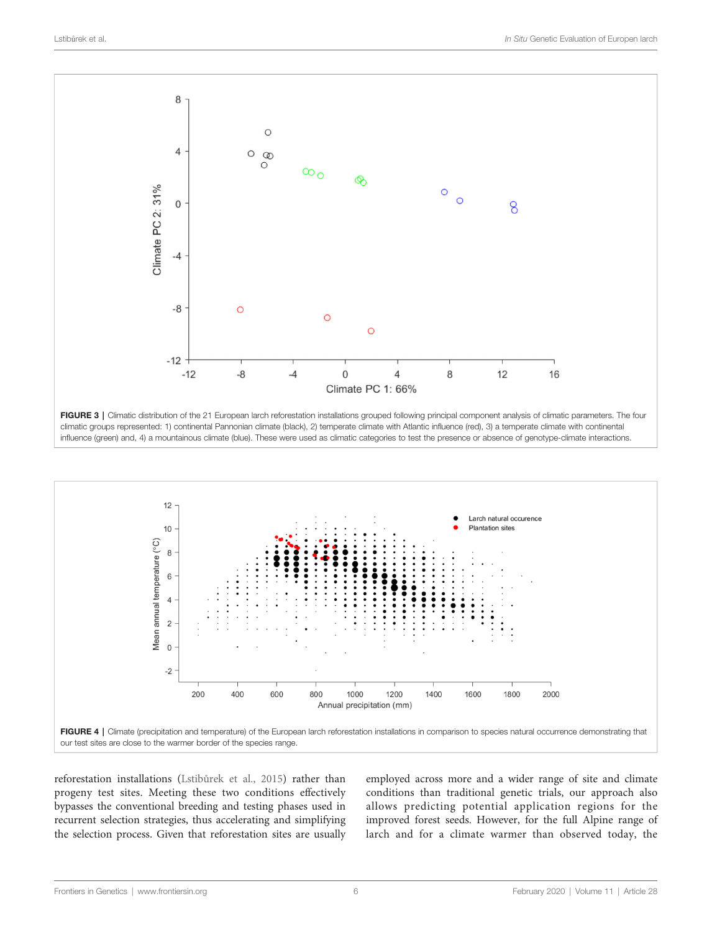<span id="page-5-0"></span>



reforestation installations (Lstibů[rek et al., 2015\)](#page-7-0) rather than progeny test sites. Meeting these two conditions effectively bypasses the conventional breeding and testing phases used in recurrent selection strategies, thus accelerating and simplifying the selection process. Given that reforestation sites are usually employed across more and a wider range of site and climate conditions than traditional genetic trials, our approach also allows predicting potential application regions for the improved forest seeds. However, for the full Alpine range of larch and for a climate warmer than observed today, the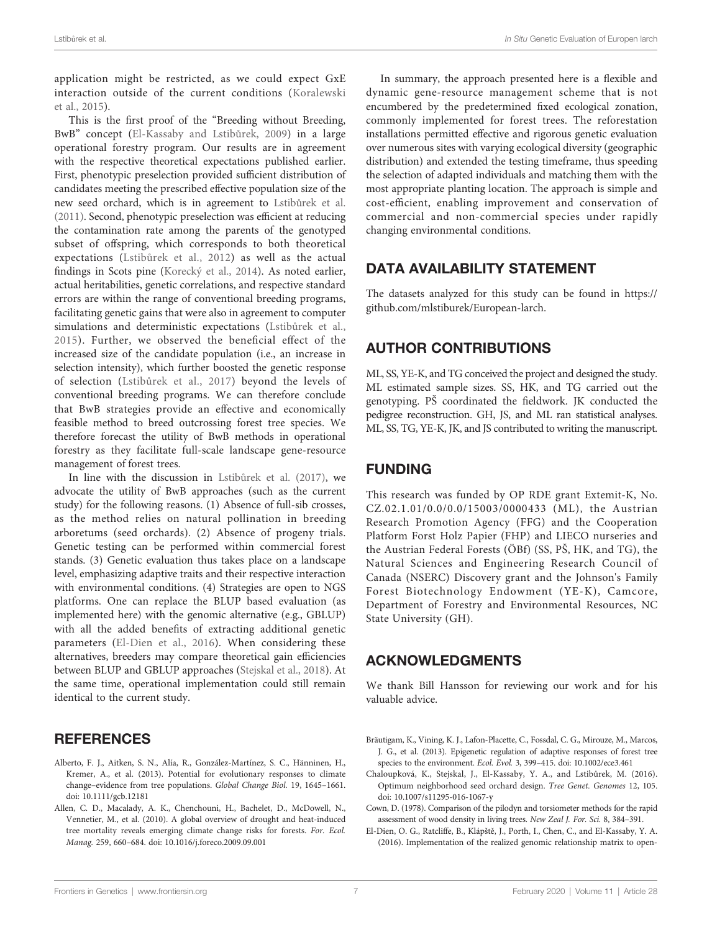<span id="page-6-0"></span>application might be restricted, as we could expect GxE interaction outside of the current conditions ([Koralewski](#page-7-0) [et al., 2015\)](#page-7-0).

This is the first proof of the "Breeding without Breeding, BwB" concept ([El-Kassaby and Lstib](#page-7-0)ůrek, 2009) in a large operational forestry program. Our results are in agreement with the respective theoretical expectations published earlier. First, phenotypic preselection provided sufficient distribution of candidates meeting the prescribed effective population size of the new seed orchard, which is in agreement to Lstibů[rek et al.](#page-7-0) [\(2011\)](#page-7-0). Second, phenotypic preselection was efficient at reducing the contamination rate among the parents of the genotyped subset of offspring, which corresponds to both theoretical expectations (Lstibů[rek et al., 2012](#page-7-0)) as well as the actual findings in Scots pine [\(Korecký et al., 2014](#page-7-0)). As noted earlier, actual heritabilities, genetic correlations, and respective standard errors are within the range of conventional breeding programs, facilitating genetic gains that were also in agreement to computer simulations and deterministic expectations (Lstibů[rek et al.,](#page-7-0) [2015](#page-7-0)). Further, we observed the beneficial effect of the increased size of the candidate population (i.e., an increase in selection intensity), which further boosted the genetic response of selection (Lstibů[rek et al., 2017\)](#page-7-0) beyond the levels of conventional breeding programs. We can therefore conclude that BwB strategies provide an effective and economically feasible method to breed outcrossing forest tree species. We therefore forecast the utility of BwB methods in operational forestry as they facilitate full-scale landscape gene-resource management of forest trees.

In line with the discussion in Lstibů[rek et al. \(2017\)](#page-7-0), we advocate the utility of BwB approaches (such as the current study) for the following reasons. (1) Absence of full-sib crosses, as the method relies on natural pollination in breeding arboretums (seed orchards). (2) Absence of progeny trials. Genetic testing can be performed within commercial forest stands. (3) Genetic evaluation thus takes place on a landscape level, emphasizing adaptive traits and their respective interaction with environmental conditions. (4) Strategies are open to NGS platforms. One can replace the BLUP based evaluation (as implemented here) with the genomic alternative (e.g., GBLUP) with all the added benefits of extracting additional genetic parameters (El-Dien et al., 2016). When considering these alternatives, breeders may compare theoretical gain efficiencies between BLUP and GBLUP approaches ([Stejskal et al., 2018](#page-7-0)). At the same time, operational implementation could still remain identical to the current study.

## **REFERENCES**

- Alberto, F. J., Aitken, S. N., Alía, R., González-Martínez, S. C., Hänninen, H., Kremer, A., et al. (2013). Potential for evolutionary responses to climate change–evidence from tree populations. Global Change Biol. 19, 1645–1661. doi: [10.1111/gcb.12181](https://doi.org/10.1111/gcb.12181)
- Allen, C. D., Macalady, A. K., Chenchouni, H., Bachelet, D., McDowell, N., Vennetier, M., et al. (2010). A global overview of drought and heat-induced tree mortality reveals emerging climate change risks for forests. For. Ecol. Manag. 259, 660–684. doi: [10.1016/j.foreco.2009.09.001](https://doi.org/10.1016/j.foreco.2009.09.001)

In summary, the approach presented here is a flexible and dynamic gene-resource management scheme that is not encumbered by the predetermined fixed ecological zonation, commonly implemented for forest trees. The reforestation installations permitted effective and rigorous genetic evaluation over numerous sites with varying ecological diversity (geographic distribution) and extended the testing timeframe, thus speeding the selection of adapted individuals and matching them with the most appropriate planting location. The approach is simple and cost-efficient, enabling improvement and conservation of commercial and non-commercial species under rapidly changing environmental conditions.

## DATA AVAILABILITY STATEMENT

The datasets analyzed for this study can be found in [https://](https://github.com/mlstiburek/European-larch) [github.com/mlstiburek/European-larch.](https://github.com/mlstiburek/European-larch)

# AUTHOR CONTRIBUTIONS

ML, SS, YE-K, and TG conceived the project and designed the study. ML estimated sample sizes. SS, HK, and TG carried out the genotyping. PŠ coordinated the fieldwork. JK conducted the pedigree reconstruction. GH, JS, and ML ran statistical analyses. ML, SS, TG, YE-K, JK, and JS contributed to writing the manuscript.

## FUNDING

This research was funded by OP RDE grant Extemit-K, No. CZ.02.1.01/0.0/0.0/15003/0000433 (ML), the Austrian Research Promotion Agency (FFG) and the Cooperation Platform Forst Holz Papier (FHP) and LIECO nurseries and the Austrian Federal Forests (ÖBf) (SS, PŠ, HK, and TG), the Natural Sciences and Engineering Research Council of Canada (NSERC) Discovery grant and the Johnson's Family Forest Biotechnology Endowment (YE-K), Camcore, Department of Forestry and Environmental Resources, NC State University (GH).

# ACKNOWLEDGMENTS

We thank Bill Hansson for reviewing our work and for his valuable advice.

- Bräutigam, K., Vining, K. J., Lafon-Placette, C., Fossdal, C. G., Mirouze, M., Marcos, J. G., et al. (2013). Epigenetic regulation of adaptive responses of forest tree species to the environment. Ecol. Evol. 3, 399–415. doi: [10.1002/ece3.461](https://doi.org/10.1002/ece3.461)
- Chaloupková, K., Stejskal, J., El-Kassaby, Y. A., and Lstibůrek, M. (2016). Optimum neighborhood seed orchard design. Tree Genet. Genomes 12, 105. doi: [10.1007/s11295-016-1067-y](https://doi.org/10.1007/s11295-016-1067-y)
- Cown, D. (1978). Comparison of the pilodyn and torsiometer methods for the rapid assessment of wood density in living trees. New Zeal J. For. Sci. 8, 384–391.
- El-Dien, O. G., Ratcliffe, B., Klápště, J., Porth, I., Chen, C., and El-Kassaby, Y. A. (2016). Implementation of the realized genomic relationship matrix to open-